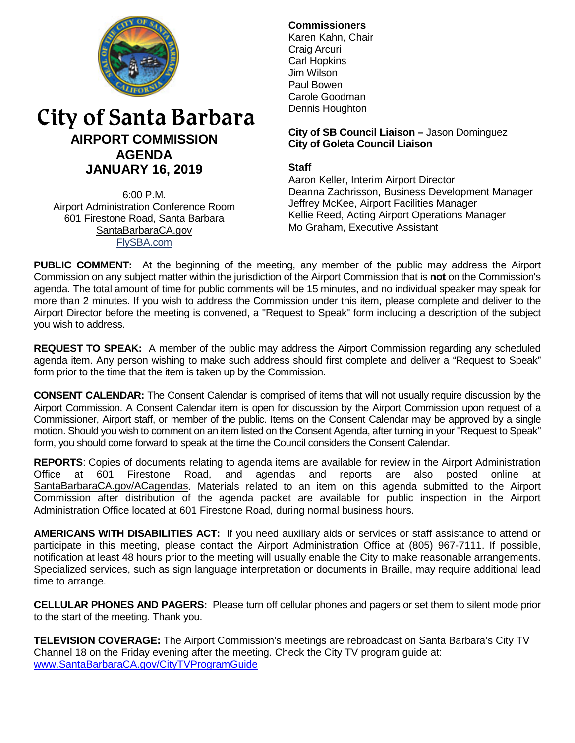

# City of Santa Barbara **AIRPORT COMMISSION AGENDA JANUARY 16, 2019**

6:00 P.M. Airport Administration Conference Room 601 Firestone Road, Santa Barbara [SantaBarbaraCA.gov](http://www.santabarbaraca.gov/) [FlySBA.com](http://www.santabarbaraca.gov/gov/depts/flysba/default.asp?utm_source=FlySBA&utm_medium=Redirect&utm_campaign=ReferralTracking)

# **Commissioners**

Karen Kahn, Chair Craig Arcuri Carl Hopkins Jim Wilson Paul Bowen Carole Goodman Dennis Houghton

## **City of SB Council Liaison –** Jason Dominguez **City of Goleta Council Liaison**

# **Staff**

Aaron Keller, Interim Airport Director Deanna Zachrisson, Business Development Manager Jeffrey McKee, Airport Facilities Manager Kellie Reed, Acting Airport Operations Manager Mo Graham, Executive Assistant

**PUBLIC COMMENT:** At the beginning of the meeting, any member of the public may address the Airport Commission on any subject matter within the jurisdiction of the Airport Commission that is **not** on the Commission's agenda. The total amount of time for public comments will be 15 minutes, and no individual speaker may speak for more than 2 minutes. If you wish to address the Commission under this item, please complete and deliver to the Airport Director before the meeting is convened, a "Request to Speak" form including a description of the subject you wish to address.

**REQUEST TO SPEAK:** A member of the public may address the Airport Commission regarding any scheduled agenda item. Any person wishing to make such address should first complete and deliver a "Request to Speak" form prior to the time that the item is taken up by the Commission.

**CONSENT CALENDAR:** The Consent Calendar is comprised of items that will not usually require discussion by the Airport Commission. A Consent Calendar item is open for discussion by the Airport Commission upon request of a Commissioner, Airport staff, or member of the public. Items on the Consent Calendar may be approved by a single motion. Should you wish to comment on an item listed on the Consent Agenda, after turning in your "Request to Speak" form, you should come forward to speak at the time the Council considers the Consent Calendar.

**REPORTS**: Copies of documents relating to agenda items are available for review in the Airport Administration<br>Office at 601 Firestone Road, and agendas and reports are also posted online at also posted online at [SantaBarbaraCA.gov/ACagendas.](http://www.santabarbaraca.gov/gov/brdcomm/ac/airport/agendas.asp) Materials related to an item on this agenda submitted to the Airport Commission after distribution of the agenda packet are available for public inspection in the Airport Administration Office located at 601 Firestone Road, during normal business hours.

**AMERICANS WITH DISABILITIES ACT:** If you need auxiliary aids or services or staff assistance to attend or participate in this meeting, please contact the Airport Administration Office at (805) 967-7111. If possible, notification at least 48 hours prior to the meeting will usually enable the City to make reasonable arrangements. Specialized services, such as sign language interpretation or documents in Braille, may require additional lead time to arrange.

**CELLULAR PHONES AND PAGERS:** Please turn off cellular phones and pagers or set them to silent mode prior to the start of the meeting. Thank you.

**TELEVISION COVERAGE:** The Airport Commission's meetings are rebroadcast on Santa Barbara's City TV Channel 18 on the Friday evening after the meeting. Check the City TV program guide at: [www.SantaBarbaraCA.gov/CityTVProgramGuide](http://www.santabarbaraca.gov/CityTVProgramGuide)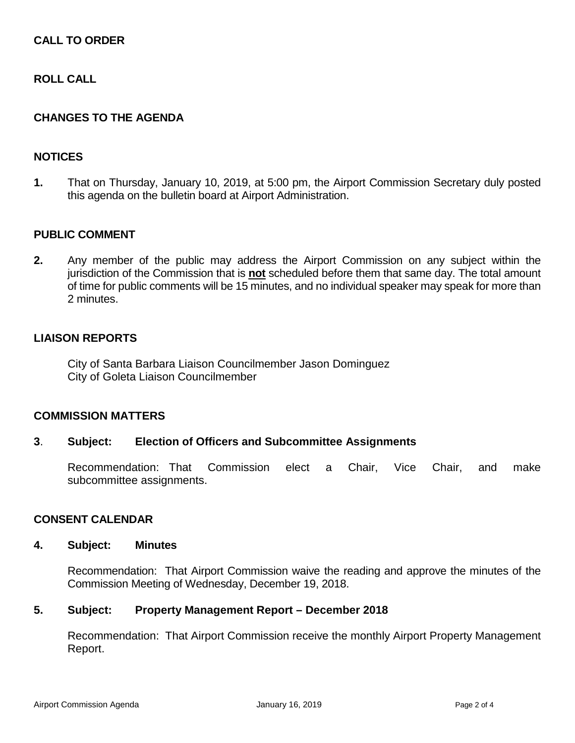# **CALL TO ORDER**

# **ROLL CALL**

## **CHANGES TO THE AGENDA**

## **NOTICES**

**1.** That on Thursday, January 10, 2019, at 5:00 pm, the Airport Commission Secretary duly posted this agenda on the bulletin board at Airport Administration.

## **PUBLIC COMMENT**

**2.** Any member of the public may address the Airport Commission on any subject within the jurisdiction of the Commission that is **not** scheduled before them that same day. The total amount of time for public comments will be 15 minutes, and no individual speaker may speak for more than 2 minutes.

#### **LIAISON REPORTS**

City of Santa Barbara Liaison Councilmember Jason Dominguez City of Goleta Liaison Councilmember

## **COMMISSION MATTERS**

#### **3**. **Subject: Election of Officers and Subcommittee Assignments**

Recommendation: That Commission elect a Chair, Vice Chair, and make subcommittee assignments.

#### **CONSENT CALENDAR**

#### **4. Subject: Minutes**

Recommendation: That Airport Commission waive the reading and approve the minutes of the Commission Meeting of Wednesday, December 19, 2018.

#### **5. Subject: Property Management Report – December 2018**

Recommendation: That Airport Commission receive the monthly Airport Property Management Report.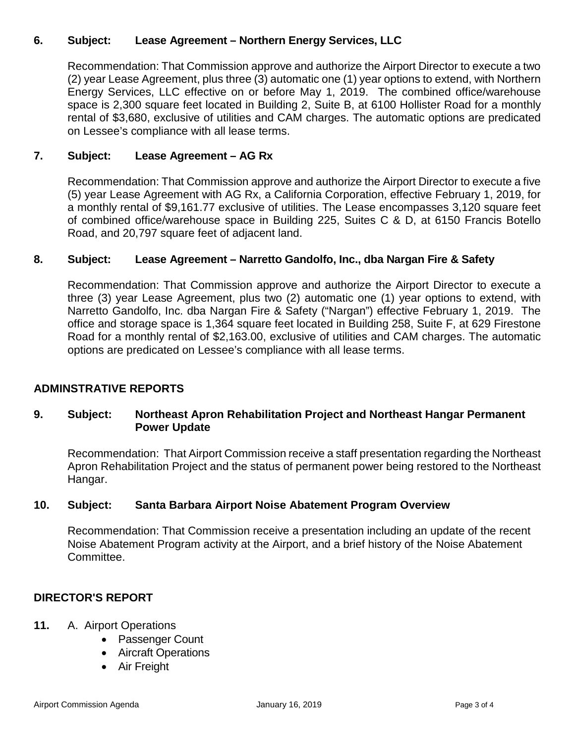# **6. Subject: Lease Agreement – Northern Energy Services, LLC**

Recommendation: That Commission approve and authorize the Airport Director to execute a two (2) year Lease Agreement, plus three (3) automatic one (1) year options to extend, with Northern Energy Services, LLC effective on or before May 1, 2019. The combined office/warehouse space is 2,300 square feet located in Building 2, Suite B, at 6100 Hollister Road for a monthly rental of \$3,680, exclusive of utilities and CAM charges. The automatic options are predicated on Lessee's compliance with all lease terms.

# **7. Subject: Lease Agreement – AG Rx**

Recommendation: That Commission approve and authorize the Airport Director to execute a five (5) year Lease Agreement with AG Rx, a California Corporation, effective February 1, 2019, for a monthly rental of \$9,161.77 exclusive of utilities. The Lease encompasses 3,120 square feet of combined office/warehouse space in Building 225, Suites C & D, at 6150 Francis Botello Road, and 20,797 square feet of adjacent land.

## **8. Subject: Lease Agreement – Narretto Gandolfo, Inc., dba Nargan Fire & Safety**

Recommendation: That Commission approve and authorize the Airport Director to execute a three (3) year Lease Agreement, plus two (2) automatic one (1) year options to extend, with Narretto Gandolfo, Inc. dba Nargan Fire & Safety ("Nargan") effective February 1, 2019. The office and storage space is 1,364 square feet located in Building 258, Suite F, at 629 Firestone Road for a monthly rental of \$2,163.00, exclusive of utilities and CAM charges. The automatic options are predicated on Lessee's compliance with all lease terms.

# **ADMINSTRATIVE REPORTS**

## **9. Subject: Northeast Apron Rehabilitation Project and Northeast Hangar Permanent Power Update**

Recommendation: That Airport Commission receive a staff presentation regarding the Northeast Apron Rehabilitation Project and the status of permanent power being restored to the Northeast Hangar.

## **10. Subject: Santa Barbara Airport Noise Abatement Program Overview**

Recommendation: That Commission receive a presentation including an update of the recent Noise Abatement Program activity at the Airport, and a brief history of the Noise Abatement Committee.

# **DIRECTOR'S REPORT**

- **11.** A. Airport Operations
	- Passenger Count
	- Aircraft Operations
	- Air Freight